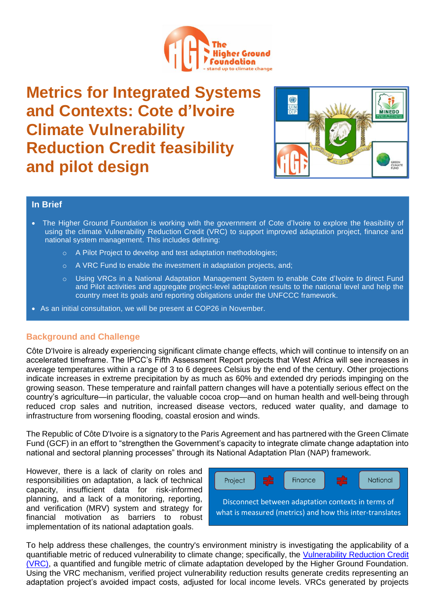

**Metrics for Integrated Systems and Contexts: Cote d'Ivoire Climate Vulnerability Reduction Credit feasibility and pilot design**



## **In Brief**

- The Higher Ground Foundation is working with the government of Cote d'Ivoire to explore the feasibility of using the climate Vulnerability Reduction Credit (VRC) to support improved adaptation project, finance and national system management. This includes defining:
	- o A Pilot Project to develop and test adaptation methodologies;
	- o A VRC Fund to enable the investment in adaptation projects, and;
	- o Using VRCs in a National Adaptation Management System to enable Cote d'Ivoire to direct Fund and Pilot activities and aggregate project-level adaptation results to the national level and help the country meet its goals and reporting obligations under the UNFCCC framework.
- As an initial consultation, we will be present at COP26 in November.

## **Background and Challenge**

Côte D'Ivoire is already experiencing significant climate change effects, which will continue to intensify on an accelerated timeframe. The IPCC's Fifth Assessment Report projects that West Africa will see increases in average temperatures within a range of 3 to 6 degrees Celsius by the end of the century. Other projections indicate increases in extreme precipitation by as much as 60% and extended dry periods impinging on the growing season. These temperature and rainfall pattern changes will have a potentially serious effect on the country's agriculture—in particular, the valuable cocoa crop—and on human health and well-being through reduced crop sales and nutrition, increased disease vectors, reduced water quality, and damage to infrastructure from worsening flooding, coastal erosion and winds.

The Republic of Côte D'Ivoire is a signatory to the Paris Agreement and has partnered with the Green Climate Fund (GCF) in an effort to "strengthen the Government's capacity to integrate climate change adaptation into national and sectoral planning processes" through its National Adaptation Plan (NAP) framework.

However, there is a lack of clarity on roles and responsibilities on adaptation, a lack of technical capacity, insufficient data for risk-informed planning, and a lack of a monitoring, reporting, and verification (MRV) system and strategy for financial motivation as barriers to robust implementation of its national adaptation goals.



To help address these challenges, the country's environment ministry is investigating the applicability of a quantifiable metric of reduced vulnerability to climate change; specifically, the [Vulnerability](https://www.thehighergroundfoundation.org/vrcs) Reduction Credit [\(VRC\),](https://www.thehighergroundfoundation.org/vrcs) a quantified and fungible metric of climate adaptation developed by the Higher Ground Foundation. Using the VRC mechanism, verified project vulnerability reduction results generate credits representing an adaptation project's avoided impact costs, adjusted for local income levels. VRCs generated by projects